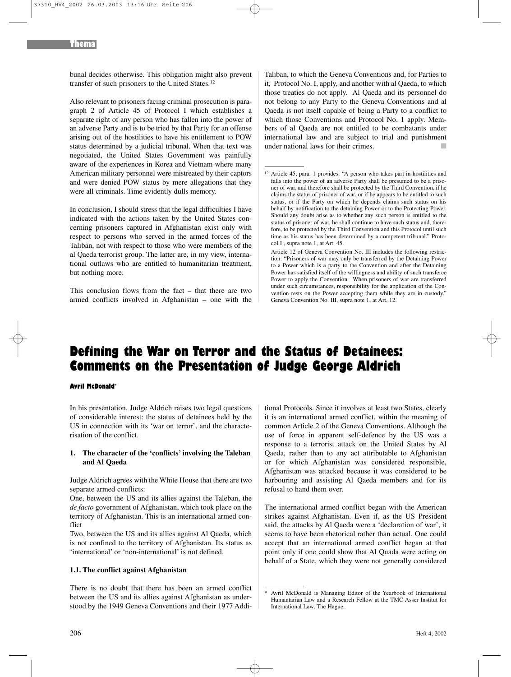# **Defining the War on Terror and the Status of Detainees: Comments on the Presentation of Judge George Aldrich**

### **Avril McDonald\***

In his presentation, Judge Aldrich raises two legal questions of considerable interest: the status of detainees held by the US in connection with its 'war on terror', and the characterisation of the conflict.

# **1. The character of the 'conflicts' involving the Taleban and Al Qaeda**

Judge Aldrich agrees with the White House that there are two separate armed conflicts:

One, between the US and its allies against the Taleban, the *de facto* government of Afghanistan, which took place on the territory of Afghanistan. This is an international armed conflict

Two, between the US and its allies against Al Qaeda, which is not confined to the territory of Afghanistan. Its status as 'international' or 'non-international' is not defined.

# **1.1. The conflict against Afghanistan**

There is no doubt that there has been an armed conflict between the US and its allies against Afghanistan as understood by the 1949 Geneva Conventions and their 1977 Addi-

tional Protocols. Since it involves at least two States, clearly it is an international armed conflict, within the meaning of common Article 2 of the Geneva Conventions. Although the use of force in apparent self-defence by the US was a response to a terrorist attack on the United States by Al Qaeda, rather than to any act attributable to Afghanistan or for which Afghanistan was considered responsible, Afghanistan was attacked because it was considered to be harbouring and assisting Al Qaeda members and for its refusal to hand them over.

The international armed conflict began with the American strikes against Afghanistan. Even if, as the US President said, the attacks by Al Qaeda were a 'declaration of war', it seems to have been rhetorical rather than actual. One could accept that an international armed conflict began at that point only if one could show that Al Quada were acting on behalf of a State, which they were not generally considered

<sup>\*</sup> Avril McDonald is Managing Editor of the Yearbook of International Humantarian Law and a Research Fellow at the TMC Asser Institut for International Law, The Hague.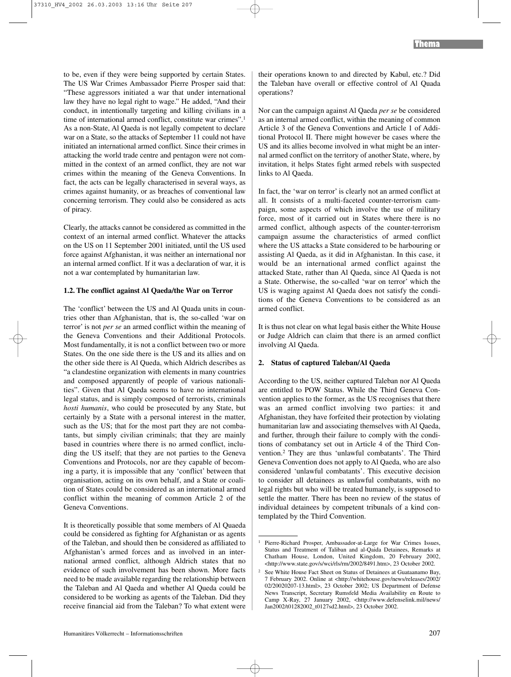to be, even if they were being supported by certain States. The US War Crimes Ambassador Pierre Prosper said that: "These aggressors initiated a war that under international law they have no legal right to wage." He added, "And their conduct, in intentionally targeting and killing civilians in a time of international armed conflict, constitute war crimes".1 As a non-State, Al Qaeda is not legally competent to declare war on a State, so the attacks of September 11 could not have initiated an international armed conflict. Since their crimes in attacking the world trade centre and pentagon were not committed in the context of an armed conflict, they are not war crimes within the meaning of the Geneva Conventions. In fact, the acts can be legally characterised in several ways, as crimes against humanity, or as breaches of conventional law concerning terrorism. They could also be considered as acts of piracy.

Clearly, the attacks cannot be considered as committed in the context of an internal armed conflict. Whatever the attacks on the US on 11 September 2001 initiated, until the US used force against Afghanistan, it was neither an international nor an internal armed conflict. If it was a declaration of war, it is not a war contemplated by humanitarian law.

#### **1.2. The conflict against Al Qaeda/the War on Terror**

The 'conflict' between the US and Al Quada units in countries other than Afghanistan, that is, the so-called 'war on terror' is not *per se* an armed conflict within the meaning of the Geneva Conventions and their Additional Protocols. Most fundamentally, it is not a conflict between two or more States. On the one side there is the US and its allies and on the other side there is Al Queda, which Aldrich describes as "a clandestine organization with elements in many countries and composed apparently of people of various nationalities". Given that Al Qaeda seems to have no international legal status, and is simply composed of terrorists, criminals *hosti humanis*, who could be prosecuted by any State, but certainly by a State with a personal interest in the matter, such as the US; that for the most part they are not combatants, but simply civilian criminals; that they are mainly based in countries where there is no armed conflict, including the US itself; that they are not parties to the Geneva Conventions and Protocols, nor are they capable of becoming a party, it is impossible that any 'conflict' between that organisation, acting on its own behalf, and a State or coalition of States could be considered as an international armed conflict within the meaning of common Article 2 of the Geneva Conventions.

It is theoretically possible that some members of Al Quaeda could be considered as fighting for Afghanistan or as agents of the Taleban, and should then be considered as affiliated to Afghanistan's armed forces and as involved in an international armed conflict, although Aldrich states that no evidence of such involvement has been shown. More facts need to be made available regarding the relationship between the Taleban and Al Qaeda and whether Al Queda could be considered to be working as agents of the Taleban. Did they receive financial aid from the Taleban? To what extent were their operations known to and directed by Kabul, etc.? Did the Taleban have overall or effective control of Al Quada operations?

Nor can the campaign against Al Qaeda *per se* be considered as an internal armed conflict, within the meaning of common Article 3 of the Geneva Conventions and Article 1 of Additional Protocol II. There might however be cases where the US and its allies become involved in what might be an internal armed conflict on the territory of another State, where, by invitation, it helps States fight armed rebels with suspected links to Al Qaeda.

In fact, the 'war on terror' is clearly not an armed conflict at all. It consists of a multi-faceted counter-terrorism campaign, some aspects of which involve the use of military force, most of it carried out in States where there is no armed conflict, although aspects of the counter-terrorism campaign assume the characteristics of armed conflict where the US attacks a State considered to be harbouring or assisting Al Qaeda, as it did in Afghanistan. In this case, it would be an international armed conflict against the attacked State, rather than Al Qaeda, since Al Qaeda is not a State. Otherwise, the so-called 'war on terror' which the US is waging against Al Qaeda does not satisfy the conditions of the Geneva Conventions to be considered as an armed conflict.

It is thus not clear on what legal basis either the White House or Judge Aldrich can claim that there is an armed conflict involving Al Qaeda.

# **2. Status of captured Taleban/Al Qaeda**

According to the US, neither captured Taleban nor Al Queda are entitled to POW Status. While the Third Geneva Convention applies to the former, as the US recognises that there was an armed conflict involving two parties: it and Afghanistan, they have forfeited their protection by violating humanitarian law and associating themselves with Al Qaeda, and further, through their failure to comply with the conditions of combatancy set out in Article 4 of the Third Convention.2 They are thus 'unlawful combatants'. The Third Geneva Convention does not apply to Al Qaeda, who are also considered 'unlawful combatants'. This executive decision to consider all detainees as unlawful combatants, with no legal rights but who will be treated humanely, is supposed to settle the matter. There has been no review of the status of individual detainees by competent tribunals of a kind contemplated by the Third Convention.

<sup>1</sup> Pierre-Richard Prosper, Ambassador-at-Large for War Crimes Issues, Status and Treatment of Taliban and al-Qaida Detainees, Remarks at Chatham House, London, United Kingdom, 20 February 2002, <http://www.state.gov/s/wci/rls/rm/2002/8491.htm>, 23 October 2002.

<sup>2</sup> See White House Fact Sheet on Status of Detainees at Guataanamo Bay, 7 February 2002. Online at <http://whitehouse.gov/news/releases/2002/ 02/20020207-13.html>, 23 October 2002; US Department of Defense News Transcript, Secretary Rumsfeld Media Availability en Route to Camp X-Ray, 27 January 2002, <http://www.defenselink.mil/news/ Jan2002/t01282002\_t0127sd2.html>, 23 October 2002.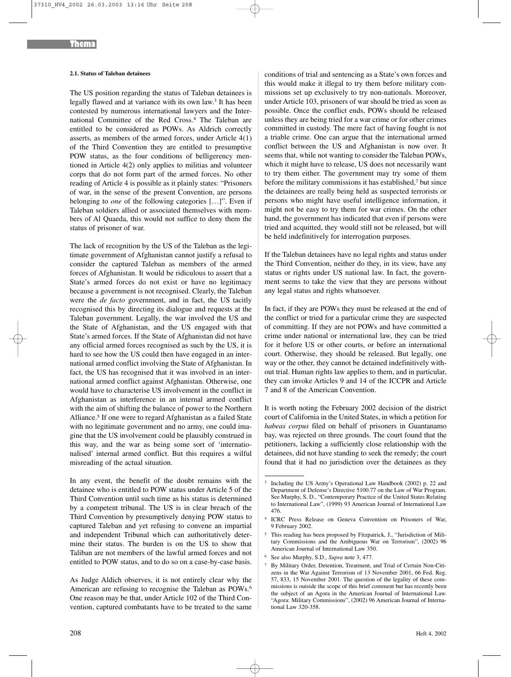#### **2.1. Status of Taleban detainees**

The US position regarding the status of Taleban detainees is legally flawed and at variance with its own law.<sup>3</sup> It has been contested by numerous international lawyers and the International Committee of the Red Cross.4 The Taleban are entitled to be considered as POWs. As Aldrich correctly asserts, as members of the armed forces, under Article 4(1) of the Third Convention they are entitled to presumptive POW status, as the four conditions of belligerency mentioned in Article 4(2) only applies to militias and volunteer corps that do not form part of the armed forces. No other reading of Article 4 is possible as it plainly states: "Prisoners of war, in the sense of the present Convention, are persons belonging to *one* of the following categories […]". Even if Taleban soldiers allied or associated themselves with members of Al Quaeda, this would not suffice to deny them the status of prisoner of war.

The lack of recognition by the US of the Taleban as the legitimate government of Afghanistan cannot justify a refusal to consider the captured Taleban as members of the armed forces of Afghanistan. It would be ridiculous to assert that a State's armed forces do not exist or have no legitimacy because a government is not recognised. Clearly, the Taleban were the *de facto* government, and in fact, the US tacitly recognised this by directing its dialogue and requests at the Taleban government. Legally, the war involved the US and the State of Afghanistan, and the US engaged with that State's armed forces. If the State of Afghanistan did not have any official armed forces recognised as such by the US, it is hard to see how the US could then have engaged in an international armed conflict involving the State of Afghanistan. In fact, the US has recognised that it was involved in an international armed conflict against Afghanistan. Otherwise, one would have to characterise US involvement in the conflict in Afghanistan as interference in an internal armed conflict with the aim of shifting the balance of power to the Northern Alliance.<sup>5</sup> If one were to regard Afghanistan as a failed State with no legitimate government and no army, one could imagine that the US involvement could be plausibly construed in this way, and the war as being some sort of 'internationalised' internal armed conflict. But this requires a wilful misreading of the actual situation.

In any event, the benefit of the doubt remains with the detainee who is entitled to POW status under Article 5 of the Third Convention until such time as his status is determined by a competent tribunal. The US is in clear breach of the Third Convention by presumptively denying POW status to captured Taleban and yet refusing to convene an impartial and independent Tribunal which can authoritatively determine their status. The burden is on the US to show that Taliban are not members of the lawful armed forces and not entitled to POW status, and to do so on a case-by-case basis.

As Judge Aldich observes, it is not entirely clear why the American are refusing to recognise the Taleban as POWs.6 One reason may be that, under Article 102 of the Third Convention, captured combatants have to be treated to the same conditions of trial and sentencing as a State's own forces and this would make it illegal to try them before military commissions set up exclusively to try non-nationals. Moreover, under Article 103, prisoners of war should be tried as soon as possible. Once the conflict ends, POWs should be released unless they are being tried for a war crime or for other crimes committed in custody. The mere fact of having fought is not a triable crime. One can argue that the international armed conflict between the US and Afghanistan is now over. It seems that, while not wanting to consider the Taleban POWs, which it might have to release, US does not necessarily want to try them either. The government may try some of them before the military commissions it has established,<sup>7</sup> but since the detainees are really being held as suspected terrorists or persons who might have useful intelligence information, it might not be easy to try them for war crimes. On the other hand, the government has indicated that even if persons were tried and acquitted, they would still not be released, but will be held indefinitively for interrogation purposes.

If the Taleban detainees have no legal rights and status under the Third Convention, neither do they, in its view, have any status or rights under US national law. In fact, the government seems to take the view that they are persons without any legal status and rights whatsoever.

In fact, if they are POWs they must be released at the end of the conflict or tried for a particular crime they are suspected of committing. If they are not POWs and have committed a crime under national or international law, they can be tried for it before US or other courts, or before an international court. Otherwise, they should be released. But legally, one way or the other, they cannot be detained indefinitively without trial. Human rights law applies to them, and in particular, they can invoke Articles 9 and 14 of the ICCPR and Article 7 and 8 of the American Convention.

It is worth noting the February 2002 decision of the district court of California in the United States, in which a petition for *habeas corpus* filed on behalf of prisoners in Guantanamo bay, was rejected on three grounds. The court found that the petitioners, lacking a sufficiently close relationship with the detainees, did not have standing to seek the remedy; the court found that it had no jurisdiction over the detainees as they

<sup>6</sup> See also Murphy, S.D., *Supra* note 3, 477.

<sup>3</sup> Including the US Army's Operational Law Handbook (2002) p. 22 and Department of Defense's Directive 5100.77 on the Law of War Program. See Murphy, S. D., "Contemporary Practice of the United States Relating to International Law", (1999) 93 American Journal of International Law 476.

<sup>4</sup> ICRC Press Release on Geneva Convention on Prisoners of War, 9 February 2002.

<sup>5</sup> This reading has been proposed by Fitzpatrick, J., "Jurisdiction of Military Commissions and the Ambiguous War on Terrorism", (2002) 96 American Journal of International Law 350.

By Military Order, Detention, Treatment, and Trial of Certain Non-Citizens in the War Against Terrorism of 13 November 2001, 66 Fed. Reg. 57, 833, 15 November 2001. The question of the legality of these commissions is outside the scope of this brief comment but has recently been the subject of an Agora in the American Journal of International Law. "Agora: Military Commissions", (2002) 96 American Journal of International Law 320-358.